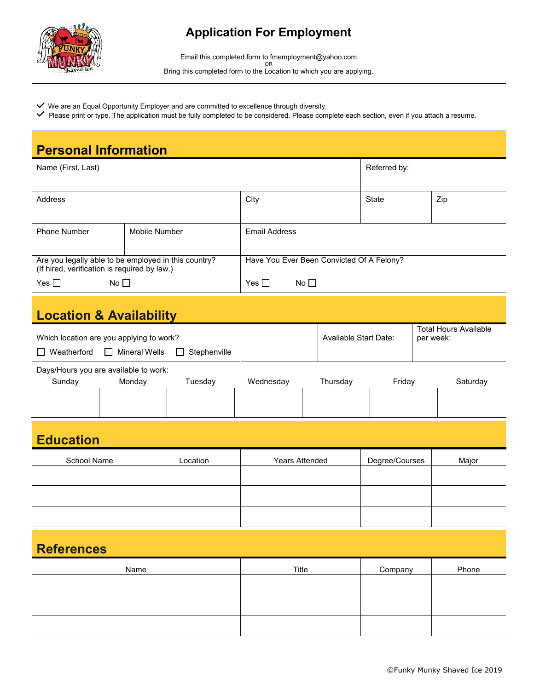

## **Application For Employment**

Email this completed form to fmemployment@yahoo.com OR Bring this completed form to the Location to which you are applying.

- $\checkmark$  We are an Equal Opportunity Employer and are committed to excellence through diversity.
- Please print or type. The application must be fully completed to be considered. Please complete each section, even if you attach a resume.

| <b>Personal Information</b>                                                                                     |        |               |                                           |              |                       |              |                                           |          |  |
|-----------------------------------------------------------------------------------------------------------------|--------|---------------|-------------------------------------------|--------------|-----------------------|--------------|-------------------------------------------|----------|--|
| Name (First, Last)                                                                                              |        |               |                                           | Referred by: |                       |              |                                           |          |  |
| Address                                                                                                         |        |               | City                                      |              |                       | <b>State</b> |                                           | Zip      |  |
| <b>Phone Number</b>                                                                                             |        | Mobile Number | <b>Email Address</b>                      |              |                       |              |                                           |          |  |
| Are you legally able to be employed in this country?<br>(If hired, verification is required by law.)            |        |               | Have You Ever Been Convicted Of A Felony? |              |                       |              |                                           |          |  |
| Yes $\square$<br>No $\square$                                                                                   |        |               | Yes $\square$<br>No $\square$             |              |                       |              |                                           |          |  |
| <b>Location &amp; Availability</b>                                                                              |        |               |                                           |              |                       |              |                                           |          |  |
| Which location are you applying to work?<br>Weatherford<br>$\Box$ Mineral Wells<br>Stephenville<br>$\mathsf{L}$ |        |               |                                           |              | Available Start Date: |              | <b>Total Hours Available</b><br>per week: |          |  |
| Days/Hours you are available to work:                                                                           |        |               |                                           |              |                       | Friday       |                                           |          |  |
| Sunday                                                                                                          | Monday | Tuesday       | Wednesday                                 |              | Thursday              |              |                                           | Saturday |  |
| <b>Education</b>                                                                                                |        |               |                                           |              |                       |              |                                           |          |  |
| School Name                                                                                                     |        | Location      | <b>Years Attended</b>                     |              | Degree/Courses        |              |                                           | Major    |  |
|                                                                                                                 |        |               |                                           |              |                       |              |                                           |          |  |
|                                                                                                                 |        |               |                                           |              |                       |              |                                           |          |  |
| <b>References</b>                                                                                               |        |               |                                           |              |                       |              |                                           |          |  |
| Name                                                                                                            |        |               | Title                                     |              | Company               |              | Phone                                     |          |  |
|                                                                                                                 |        |               |                                           |              |                       |              |                                           |          |  |
|                                                                                                                 |        |               |                                           |              |                       |              |                                           |          |  |
|                                                                                                                 |        |               |                                           |              |                       |              |                                           |          |  |